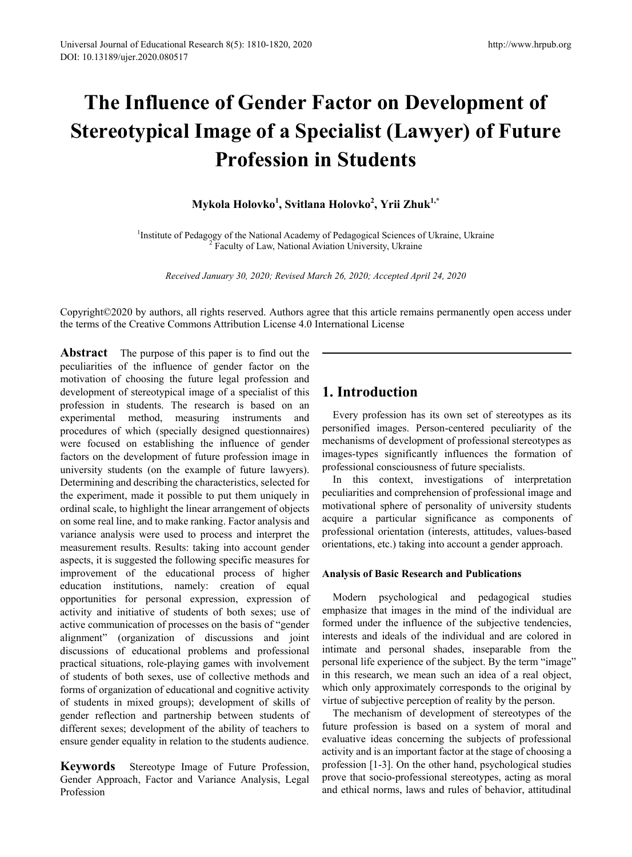# **The Influence of Gender Factor on Development of Stereotypical Image of a Specialist (Lawyer) of Future Profession in Students**

## **Mykola Holovko1 , Svitlana Holovko2 , Yrii Zhuk1,\***

<sup>1</sup> Institute of Pedagogy of the National Academy of Pedagogical Sciences of Ukraine, Ukraine<sup>2</sup> Faculty of Law, National Aviation University, Ukraine

*Received January 30, 2020; Revised March 26, 2020; Accepted April 24, 2020*

Copyright©2020 by authors, all rights reserved. Authors agree that this article remains permanently open access under the terms of the Creative Commons Attribution License 4.0 International License

**Abstract** The purpose of this paper is to find out the peculiarities of the influence of gender factor on the motivation of choosing the future legal profession and development of stereotypical image of a specialist of this profession in students. The research is based on an experimental method, measuring instruments and procedures of which (specially designed questionnaires) were focused on establishing the influence of gender factors on the development of future profession image in university students (on the example of future lawyers). Determining and describing the characteristics, selected for the experiment, made it possible to put them uniquely in ordinal scale, to highlight the linear arrangement of objects on some real line, and to make ranking. Factor analysis and variance analysis were used to process and interpret the measurement results. Results: taking into account gender aspects, it is suggested the following specific measures for improvement of the educational process of higher education institutions, namely: creation of equal opportunities for personal expression, expression of activity and initiative of students of both sexes; use of active communication of processes on the basis of "gender alignment" (organization of discussions and joint discussions of educational problems and professional practical situations, role-playing games with involvement of students of both sexes, use of collective methods and forms of organization of educational and cognitive activity of students in mixed groups); development of skills of gender reflection and partnership between students of different sexes; development of the ability of teachers to ensure gender equality in relation to the students audience.

**Keywords** Stereotype Image of Future Profession, Gender Approach, Factor and Variance Analysis, Legal Profession

# **1. Introduction**

Every profession has its own set of stereotypes as its personified images. Person-centered peculiarity of the mechanisms of development of professional stereotypes as images-types significantly influences the formation of professional consciousness of future specialists.

In this context, investigations of interpretation peculiarities and comprehension of professional image and motivational sphere of personality of university students acquire a particular significance as components of professional orientation (interests, attitudes, values-based orientations, etc.) taking into account a gender approach.

#### **Analysis of Basic Research and Publications**

Modern psychological and pedagogical studies emphasize that images in the mind of the individual are formed under the influence of the subjective tendencies, interests and ideals of the individual and are colored in intimate and personal shades, inseparable from the personal life experience of the subject. By the term "image" in this research, we mean such an idea of a real object, which only approximately corresponds to the original by virtue of subjective perception of reality by the person.

The mechanism of development of stereotypes of the future profession is based on a system of moral and evaluative ideas concerning the subjects of professional activity and is an important factor at the stage of choosing a profession [1-3]. On the other hand, psychological studies prove that socio-professional stereotypes, acting as moral and ethical norms, laws and rules of behavior, attitudinal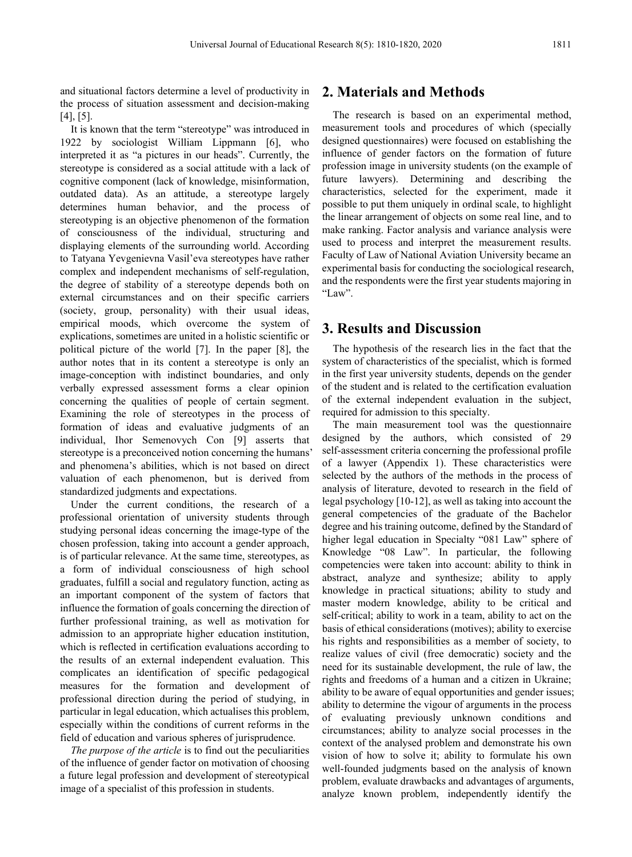and situational factors determine a level of productivity in the process of situation assessment and decision-making [4], [5].

It is known that the term "stereotype" was introduced in 1922 by sociologist William Lippmann [6], who interpreted it as "a pictures in our heads". Currently, the stereotype is considered as a social attitude with a lack of cognitive component (lack of knowledge, misinformation, outdated data). As an attitude, a stereotype largely determines human behavior, and the process of stereotyping is an objective phenomenon of the formation of consciousness of the individual, structuring and displaying elements of the surrounding world. According to Tatyana Yevgenievna Vasil'eva stereotypes have rather complex and independent mechanisms of self-regulation, the degree of stability of a stereotype depends both on external circumstances and on their specific carriers (society, group, personality) with their usual ideas, empirical moods, which overcome the system of explications, sometimes are united in a holistic scientific or political picture of the world [7]. In the paper [8], the author notes that in its content a stereotype is only an image-conception with indistinct boundaries, and only verbally expressed assessment forms a clear opinion concerning the qualities of people of certain segment. Examining the role of stereotypes in the process of formation of ideas and evaluative judgments of an individual, Ihor Semenovych Con [9] asserts that stereotype is a preconceived notion concerning the humans' and phenomena's abilities, which is not based on direct valuation of each phenomenon, but is derived from standardized judgments and expectations.

Under the current conditions, the research of a professional orientation of university students through studying personal ideas concerning the image-type of the chosen profession, taking into account a gender approach, is of particular relevance. At the same time, stereotypes, as a form of individual consciousness of high school graduates, fulfill a social and regulatory function, acting as an important component of the system of factors that influence the formation of goals concerning the direction of further professional training, as well as motivation for admission to an appropriate higher education institution, which is reflected in certification evaluations according to the results of an external independent evaluation. This complicates an identification of specific pedagogical measures for the formation and development of professional direction during the period of studying, in particular in legal education, which actualises this problem, especially within the conditions of current reforms in the field of education and various spheres of jurisprudence.

*The purpose of the article* is to find out the peculiarities of the influence of gender factor on motivation of choosing a future legal profession and development of stereotypical image of a specialist of this profession in students.

#### **2. Materials and Methods**

The research is based on an experimental method, measurement tools and procedures of which (specially designed questionnaires) were focused on establishing the influence of gender factors on the formation of future profession image in university students (on the example of future lawyers). Determining and describing the characteristics, selected for the experiment, made it possible to put them uniquely in ordinal scale, to highlight the linear arrangement of objects on some real line, and to make ranking. Factor analysis and variance analysis were used to process and interpret the measurement results. Faculty of Law of National Aviation University became an experimental basis for conducting the sociological research, and the respondents were the first year students majoring in "Law".

### **3. Results and Discussion**

The hypothesis of the research lies in the fact that the system of characteristics of the specialist, which is formed in the first year university students, depends on the gender of the student and is related to the certification evaluation of the external independent evaluation in the subject, required for admission to this specialty.

The main measurement tool was the questionnaire designed by the authors, which consisted of 29 self-assessment criteria concerning the professional profile of a lawyer (Appendix 1). These characteristics were selected by the authors of the methods in the process of analysis of literature, devoted to research in the field of legal psychology [10-12], as well as taking into account the general competencies of the graduate of the Bachelor degree and his training outcome, defined by the Standard of higher legal education in Specialty "081 Law" sphere of Knowledge "08 Law". In particular, the following competencies were taken into account: ability to think in abstract, analyze and synthesize; ability to apply knowledge in practical situations; ability to study and master modern knowledge, ability to be critical and self-critical; ability to work in a team, ability to act on the basis of ethical considerations (motives); ability to exercise his rights and responsibilities as a member of society, to realize values of civil (free democratic) society and the need for its sustainable development, the rule of law, the rights and freedoms of a human and a citizen in Ukraine; ability to be aware of equal opportunities and gender issues; ability to determine the vigour of arguments in the process of evaluating previously unknown conditions and circumstances; ability to analyze social processes in the context of the analysed problem and demonstrate his own vision of how to solve it; ability to formulate his own well-founded judgments based on the analysis of known problem, evaluate drawbacks and advantages of arguments, analyze known problem, independently identify the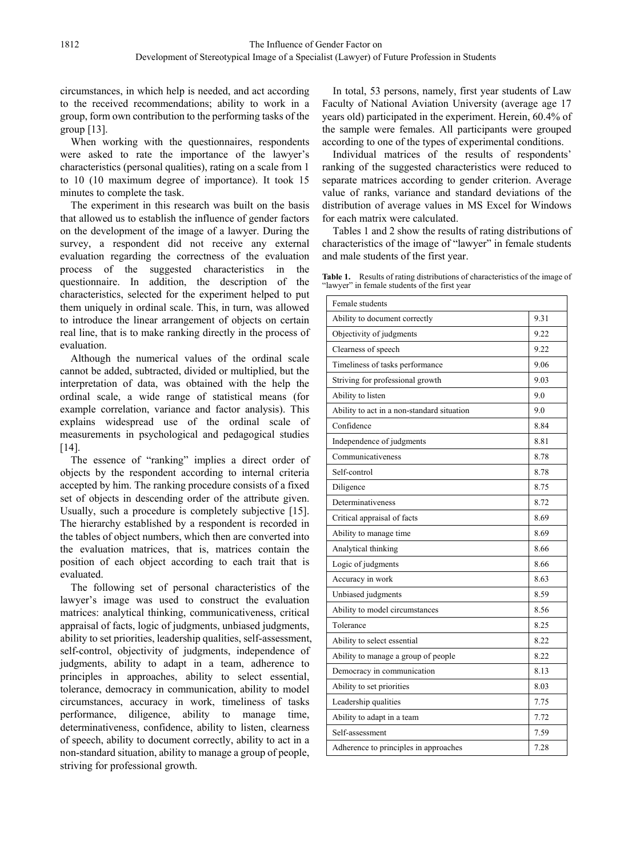circumstances, in which help is needed, and act according to the received recommendations; ability to work in a group, form own contribution to the performing tasks of the group [13].

When working with the questionnaires, respondents were asked to rate the importance of the lawyer's characteristics (personal qualities), rating on a scale from 1 to 10 (10 maximum degree of importance). It took 15 minutes to complete the task.

The experiment in this research was built on the basis that allowed us to establish the influence of gender factors on the development of the image of a lawyer. During the survey, a respondent did not receive any external evaluation regarding the correctness of the evaluation process of the suggested characteristics in the questionnaire. In addition, the description of the characteristics, selected for the experiment helped to put them uniquely in ordinal scale. This, in turn, was allowed to introduce the linear arrangement of objects on certain real line, that is to make ranking directly in the process of evaluation.

Although the numerical values of the ordinal scale cannot be added, subtracted, divided or multiplied, but the interpretation of data, was obtained with the help the ordinal scale, a wide range of statistical means (for example correlation, variance and factor analysis). This explains widespread use of the ordinal scale of measurements in psychological and pedagogical studies [14].

The essence of "ranking" implies a direct order of objects by the respondent according to internal criteria accepted by him. The ranking procedure consists of a fixed set of objects in descending order of the attribute given. Usually, such a procedure is completely subjective [15]. The hierarchy established by a respondent is recorded in the tables of object numbers, which then are converted into the evaluation matrices, that is, matrices contain the position of each object according to each trait that is evaluated.

The following set of personal characteristics of the lawyer's image was used to construct the evaluation matrices: analytical thinking, communicativeness, critical appraisal of facts, logic of judgments, unbiased judgments, ability to set priorities, leadership qualities, self-assessment, self-control, objectivity of judgments, independence of judgments, ability to adapt in a team, adherence to principles in approaches, ability to select essential, tolerance, democracy in communication, ability to model circumstances, accuracy in work, timeliness of tasks performance, diligence, ability to manage time, determinativeness, confidence, ability to listen, clearness of speech, ability to document correctly, ability to act in a non-standard situation, ability to manage a group of people, striving for professional growth.

In total, 53 persons, namely, first year students of Law Faculty of National Aviation University (average age 17 years old) participated in the experiment. Herein, 60.4% of the sample were females. All participants were grouped according to one of the types of experimental conditions.

Individual matrices of the results of respondents' ranking of the suggested characteristics were reduced to separate matrices according to gender criterion. Average value of ranks, variance and standard deviations of the distribution of average values in MS Excel for Windows for each matrix were calculated.

Tables 1 and 2 show the results of rating distributions of characteristics of the image of "lawyer" in female students and male students of the first year.

| Female students                            |      |  |
|--------------------------------------------|------|--|
| Ability to document correctly              | 9.31 |  |
| Objectivity of judgments                   | 9.22 |  |
| Clearness of speech                        | 9.22 |  |
| Timeliness of tasks performance            | 9.06 |  |
| Striving for professional growth           | 9.03 |  |
| Ability to listen                          | 9.0  |  |
| Ability to act in a non-standard situation | 9.0  |  |
| Confidence                                 | 8.84 |  |
| Independence of judgments                  | 8.81 |  |
| Communicativeness                          | 8.78 |  |
| Self-control                               | 8.78 |  |
| Diligence                                  | 8.75 |  |
| Determinativeness                          | 8.72 |  |
| Critical appraisal of facts                | 8.69 |  |
| Ability to manage time                     | 8.69 |  |
| Analytical thinking                        | 8.66 |  |
| Logic of judgments                         | 8.66 |  |
| Accuracy in work                           | 8.63 |  |
| Unbiased judgments                         | 8.59 |  |
| Ability to model circumstances             | 8.56 |  |
| Tolerance                                  | 8.25 |  |
| Ability to select essential                | 8.22 |  |
| Ability to manage a group of people        | 8.22 |  |
| Democracy in communication                 | 8.13 |  |
| Ability to set priorities                  | 8.03 |  |
| Leadership qualities                       | 7.75 |  |
| Ability to adapt in a team                 | 7.72 |  |
| Self-assessment                            | 7.59 |  |
| Adherence to principles in approaches      | 7.28 |  |
|                                            |      |  |

**Table 1.** Results of rating distributions of characteristics of the image of "lawyer" in female students of the first year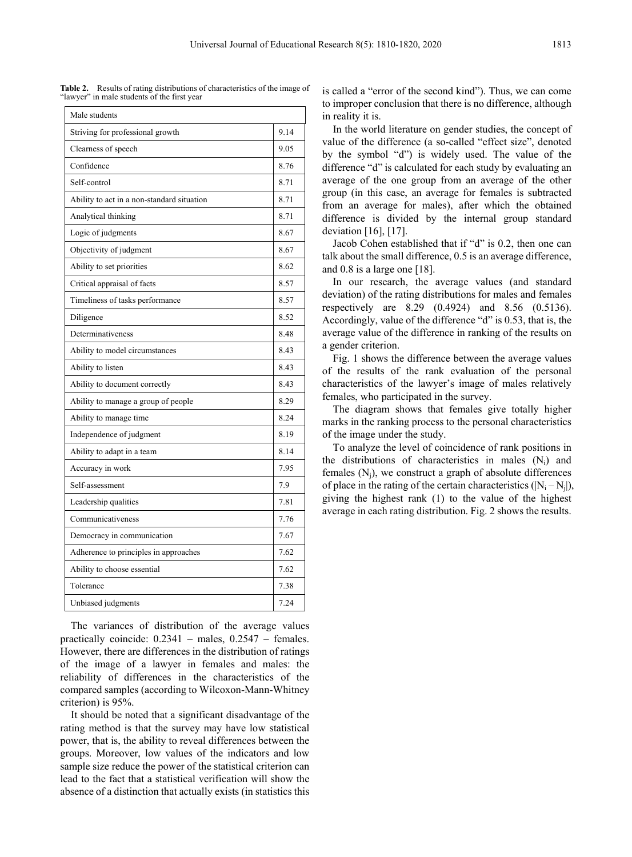| Male students                              |      |
|--------------------------------------------|------|
| Striving for professional growth           | 9.14 |
| Clearness of speech                        | 9.05 |
| Confidence                                 | 8.76 |
| Self-control                               | 8.71 |
| Ability to act in a non-standard situation | 8.71 |
| Analytical thinking                        | 8.71 |
| Logic of judgments                         | 8.67 |
| Objectivity of judgment                    | 8.67 |
| Ability to set priorities                  | 8.62 |
| Critical appraisal of facts                | 8.57 |
| Timeliness of tasks performance            | 8.57 |
| Diligence                                  | 8.52 |
| Determinativeness                          | 8.48 |
| Ability to model circumstances             | 8.43 |
| Ability to listen                          | 8.43 |
| Ability to document correctly              | 8.43 |
| Ability to manage a group of people        | 8.29 |
| Ability to manage time                     | 8.24 |
| Independence of judgment                   | 8.19 |
| Ability to adapt in a team                 | 8.14 |
| Accuracy in work                           | 7.95 |
| Self-assessment                            | 7.9  |
| Leadership qualities                       | 7.81 |
| Communicativeness                          | 7.76 |
| Democracy in communication                 | 7.67 |
| Adherence to principles in approaches      | 7.62 |
| Ability to choose essential                | 7.62 |
| Tolerance                                  | 7.38 |
| Unbiased judgments                         | 7.24 |

**Table 2.** Results of rating distributions of characteristics of the image of "lawyer" in male students of the first year

The variances of distribution of the average values practically coincide: 0.2341 – males, 0.2547 – females. However, there are differences in the distribution of ratings of the image of a lawyer in females and males: the reliability of differences in the characteristics of the compared samples (according to Wilcoxon-Mann-Whitney criterion) is 95%.

It should be noted that a significant disadvantage of the rating method is that the survey may have low statistical power, that is, the ability to reveal differences between the groups. Moreover, low values of the indicators and low sample size reduce the power of the statistical criterion can lead to the fact that a statistical verification will show the absence of a distinction that actually exists (in statistics this

is called a "error of the second kind"). Thus, we can come to improper conclusion that there is no difference, although in reality it is.

In the world literature on gender studies, the concept of value of the difference (a so-called "effect size", denoted by the symbol "d") is widely used. The value of the difference "d" is calculated for each study by evaluating an average of the one group from an average of the other group (in this case, an average for females is subtracted from an average for males), after which the obtained difference is divided by the internal group standard deviation [16], [17].

Jacob Cohen established that if "d" is 0.2, then one can talk about the small difference, 0.5 is an average difference, and 0.8 is a large one [18].

In our research, the average values (and standard deviation) of the rating distributions for males and females respectively are 8.29 (0.4924) and 8.56 (0.5136). Accordingly, value of the difference "d" is 0.53, that is, the average value of the difference in ranking of the results on a gender criterion.

Fig. 1 shows the difference between the average values of the results of the rank evaluation of the personal characteristics of the lawyer's image of males relatively females, who participated in the survey.

The diagram shows that females give totally higher marks in the ranking process to the personal characteristics of the image under the study.

To analyze the level of coincidence of rank positions in the distributions of characteristics in males  $(N_i)$  and females  $(N_i)$ , we construct a graph of absolute differences of place in the rating of the certain characteristics  $(|N_i - N_j|)$ , giving the highest rank (1) to the value of the highest average in each rating distribution. Fig. 2 shows the results.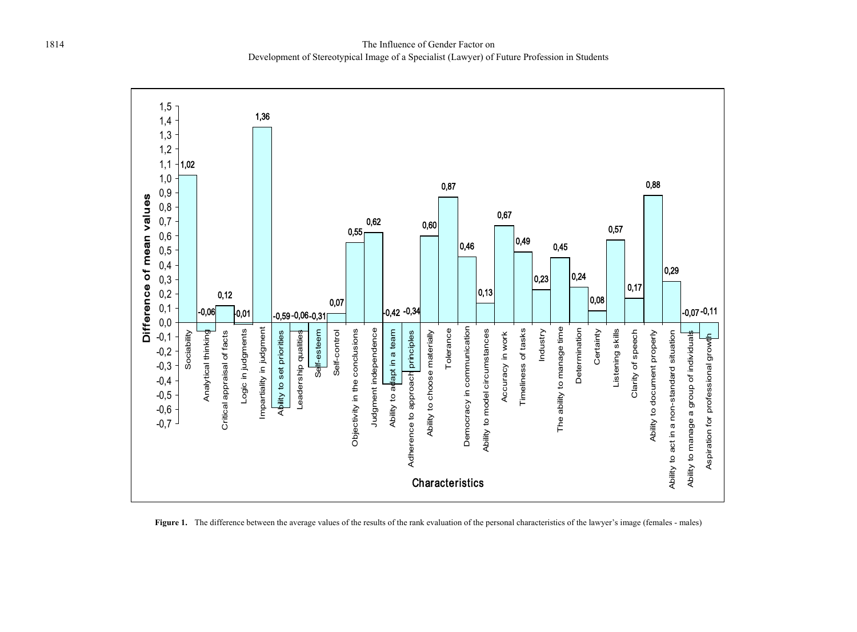

**Figure 1.** The difference between the average values of the results of the rank evaluation of the personal characteristics of the lawyer's image (females - males)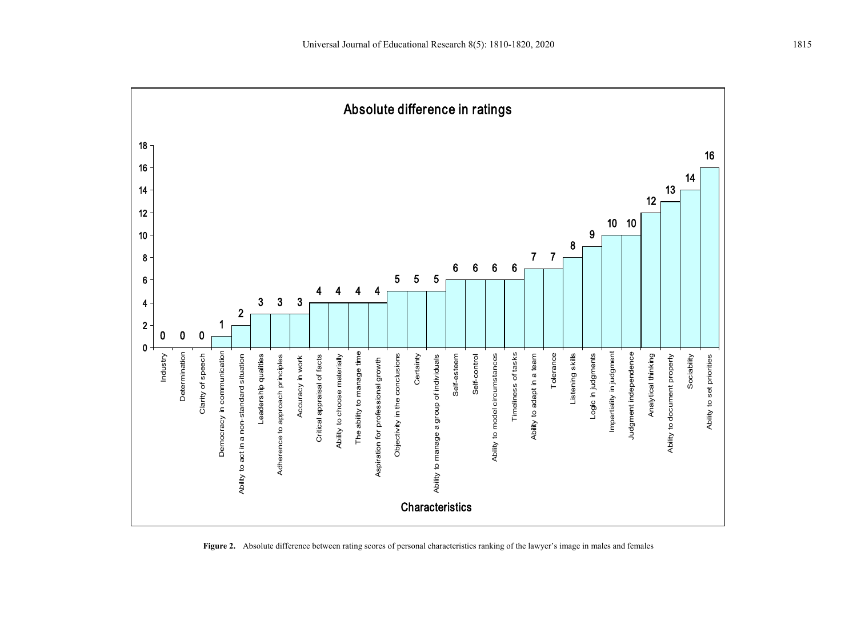

**Figure 2.** Absolute difference between rating scores of personal characteristics ranking of the lawyer's image in males and females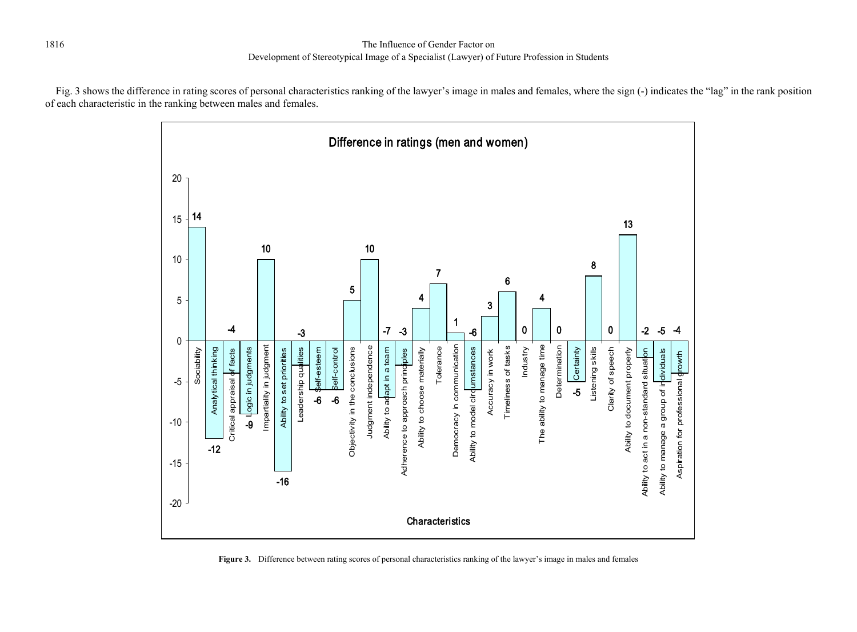Fig. 3 shows the difference in rating scores of personal characteristics ranking of the lawyer's image in males and females, where the sign (-) indicates the "lag" in the rank position of each characteristic in the ranking between males and females.



**Figure 3.** Difference between rating scores of personal characteristics ranking of the lawyer's image in males and females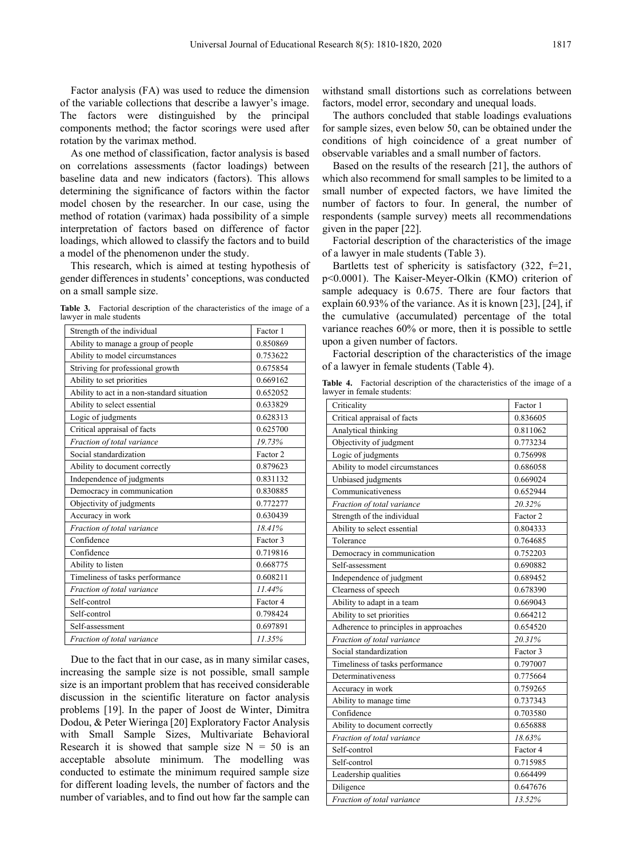Factor analysis (FA) was used to reduce the dimension of the variable collections that describe a lawyer's image. The factors were distinguished by the principal components method; the factor scorings were used after rotation by the varimax method.

As one method of classification, factor analysis is based on correlations assessments (factor loadings) between baseline data and new indicators (factors). This allows determining the significance of factors within the factor model chosen by the researcher. In our case, using the method of rotation (varimax) hada possibility of a simple interpretation of factors based on difference of factor loadings, which allowed to classify the factors and to build a model of the phenomenon under the study.

This research, which is aimed at testing hypothesis of gender differences in students' conceptions, was conducted on a small sample size.

**Table 3.** Factorial description of the characteristics of the image of a lawyer in male students

| Strength of the individual                 | Factor 1 |
|--------------------------------------------|----------|
| Ability to manage a group of people        | 0.850869 |
| Ability to model circumstances             | 0.753622 |
| Striving for professional growth           | 0.675854 |
| Ability to set priorities                  | 0.669162 |
| Ability to act in a non-standard situation | 0.652052 |
| Ability to select essential                | 0.633829 |
| Logic of judgments                         | 0.628313 |
| Critical appraisal of facts                | 0.625700 |
| Fraction of total variance                 | 19.73%   |
| Social standardization                     | Factor 2 |
| Ability to document correctly              | 0.879623 |
| Independence of judgments                  | 0.831132 |
| Democracy in communication                 | 0.830885 |
| Objectivity of judgments                   | 0.772277 |
| Accuracy in work                           | 0.630439 |
| Fraction of total variance                 | 18.41%   |
| Confidence                                 | Factor 3 |
| Confidence                                 | 0.719816 |
| Ability to listen                          | 0.668775 |
| Timeliness of tasks performance            | 0.608211 |
| Fraction of total variance                 | 11.44%   |
| Self-control                               | Factor 4 |
| Self-control                               | 0.798424 |
| Self-assessment                            | 0.697891 |
| Fraction of total variance                 | 11.35%   |

Due to the fact that in our case, as in many similar cases, increasing the sample size is not possible, small sample size is an important problem that has received considerable discussion in the scientific literature on factor analysis problems [19]. In the paper of Joost de Winter, Dimitra Dodou, & Peter Wieringa [20] Exploratory Factor Analysis with Small Sample Sizes, Multivariate Behavioral Research it is showed that sample size  $N = 50$  is an acceptable absolute minimum. The modelling was conducted to estimate the minimum required sample size for different loading levels, the number of factors and the number of variables, and to find out how far the sample can withstand small distortions such as correlations between factors, model error, secondary and unequal loads.

The authors concluded that stable loadings evaluations for sample sizes, even below 50, can be obtained under the conditions of high coincidence of a great number of observable variables and a small number of factors.

Based on the results of the research [21], the authors of which also recommend for small samples to be limited to a small number of expected factors, we have limited the number of factors to four. In general, the number of respondents (sample survey) meets all recommendations given in the paper [22].

Factorial description of the characteristics of the image of a lawyer in male students (Table 3).

Bartletts test of sphericity is satisfactory  $(322, f=21, f=21)$ p<0.0001). The Kaiser-Meyer-Olkin (KMO) criterion of sample adequacy is 0.675. There are four factors that explain 60.93% of the variance. As it is known [23], [24], if the cumulative (accumulated) percentage of the total variance reaches 60% or more, then it is possible to settle upon a given number of factors.

Factorial description of the characteristics of the image of a lawyer in female students (Table 4).

**Table 4.** Factorial description of the characteristics of the image of a lawyer in female students:

| Criticality                           | Factor 1 |
|---------------------------------------|----------|
| Critical appraisal of facts           | 0.836605 |
| Analytical thinking                   | 0.811062 |
| Objectivity of judgment               | 0.773234 |
| Logic of judgments                    | 0.756998 |
| Ability to model circumstances        | 0.686058 |
| Unbiased judgments                    | 0.669024 |
| Communicativeness                     | 0.652944 |
| Fraction of total variance            | 20.32%   |
| Strength of the individual            | Factor 2 |
| Ability to select essential           | 0.804333 |
| Tolerance                             | 0.764685 |
| Democracy in communication            | 0.752203 |
| Self-assessment                       | 0.690882 |
| Independence of judgment              | 0.689452 |
| Clearness of speech                   | 0.678390 |
| Ability to adapt in a team            | 0.669043 |
| Ability to set priorities             | 0.664212 |
| Adherence to principles in approaches | 0.654520 |
| Fraction of total variance            | 20.31%   |
| Social standardization                | Factor 3 |
| Timeliness of tasks performance       | 0.797007 |
| Determinativeness                     | 0.775664 |
| Accuracy in work                      | 0.759265 |
| Ability to manage time                | 0.737343 |
| Confidence                            | 0.703580 |
| Ability to document correctly         | 0.656888 |
| Fraction of total variance            | 18.63%   |
| Self-control                          | Factor 4 |
| Self-control                          | 0.715985 |
| Leadership qualities                  | 0.664499 |
| Diligence                             | 0.647676 |
| Fraction of total variance            | 13.52%   |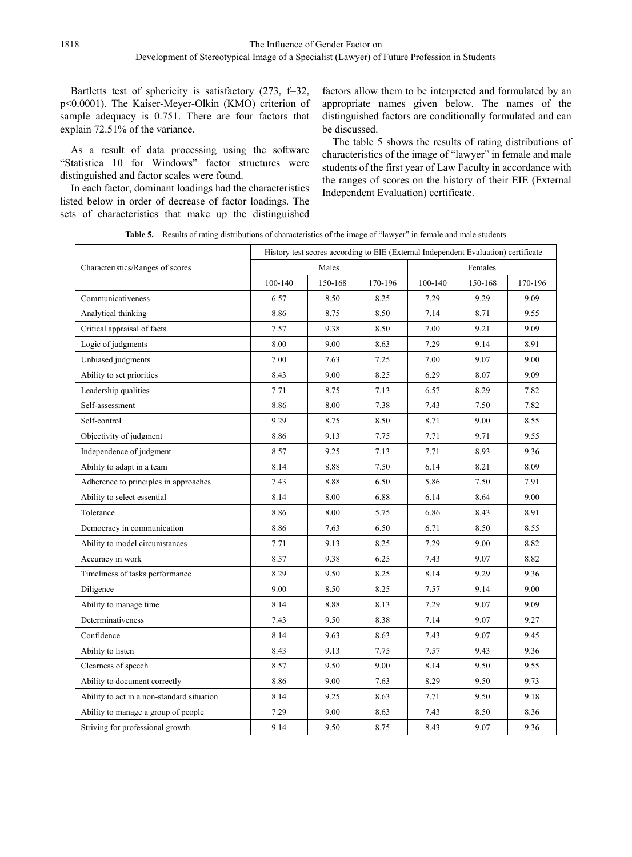Bartletts test of sphericity is satisfactory (273, f=32, p<0.0001). The Kaiser-Meyer-Olkin (KMO) criterion of sample adequacy is 0.751. There are four factors that explain 72.51% of the variance.

As a result of data processing using the software "Statistica 10 for Windows" factor structures were distinguished and factor scales were found.

In each factor, dominant loadings had the characteristics listed below in order of decrease of factor loadings. The sets of characteristics that make up the distinguished

factors allow them to be interpreted and formulated by an appropriate names given below. The names of the distinguished factors are conditionally formulated and can be discussed.

The table 5 shows the results of rating distributions of characteristics of the image of "lawyer" in female and male students of the first year of Law Faculty in accordance with the ranges of scores on the history of their EIE (External Independent Evaluation) certificate.

**Table 5.** Results of rating distributions of characteristics of the image of "lawyer" in female and male students

|                                            | History test scores according to EIE (External Independent Evaluation) certificate |         |         |         |         |         |
|--------------------------------------------|------------------------------------------------------------------------------------|---------|---------|---------|---------|---------|
| Characteristics/Ranges of scores           | Males                                                                              |         | Females |         |         |         |
|                                            | 100-140                                                                            | 150-168 | 170-196 | 100-140 | 150-168 | 170-196 |
| Communicativeness                          | 6.57                                                                               | 8.50    | 8.25    | 7.29    | 9.29    | 9.09    |
| Analytical thinking                        | 8.86                                                                               | 8.75    | 8.50    | 7.14    | 8.71    | 9.55    |
| Critical appraisal of facts                | 7.57                                                                               | 9.38    | 8.50    | 7.00    | 9.21    | 9.09    |
| Logic of judgments                         | 8.00                                                                               | 9.00    | 8.63    | 7.29    | 9.14    | 8.91    |
| Unbiased judgments                         | 7.00                                                                               | 7.63    | 7.25    | 7.00    | 9.07    | 9.00    |
| Ability to set priorities                  | 8.43                                                                               | 9.00    | 8.25    | 6.29    | 8.07    | 9.09    |
| Leadership qualities                       | 7.71                                                                               | 8.75    | 7.13    | 6.57    | 8.29    | 7.82    |
| Self-assessment                            | 8.86                                                                               | 8.00    | 7.38    | 7.43    | 7.50    | 7.82    |
| Self-control                               | 9.29                                                                               | 8.75    | 8.50    | 8.71    | 9.00    | 8.55    |
| Objectivity of judgment                    | 8.86                                                                               | 9.13    | 7.75    | 7.71    | 9.71    | 9.55    |
| Independence of judgment                   | 8.57                                                                               | 9.25    | 7.13    | 7.71    | 8.93    | 9.36    |
| Ability to adapt in a team                 | 8.14                                                                               | 8.88    | 7.50    | 6.14    | 8.21    | 8.09    |
| Adherence to principles in approaches      | 7.43                                                                               | 8.88    | 6.50    | 5.86    | 7.50    | 7.91    |
| Ability to select essential                | 8.14                                                                               | 8.00    | 6.88    | 6.14    | 8.64    | 9.00    |
| Tolerance                                  | 8.86                                                                               | 8.00    | 5.75    | 6.86    | 8.43    | 8.91    |
| Democracy in communication                 | 8.86                                                                               | 7.63    | 6.50    | 6.71    | 8.50    | 8.55    |
| Ability to model circumstances             | 7.71                                                                               | 9.13    | 8.25    | 7.29    | 9.00    | 8.82    |
| Accuracy in work                           | 8.57                                                                               | 9.38    | 6.25    | 7.43    | 9.07    | 8.82    |
| Timeliness of tasks performance            | 8.29                                                                               | 9.50    | 8.25    | 8.14    | 9.29    | 9.36    |
| Diligence                                  | 9.00                                                                               | 8.50    | 8.25    | 7.57    | 9.14    | 9.00    |
| Ability to manage time                     | 8.14                                                                               | 8.88    | 8.13    | 7.29    | 9.07    | 9.09    |
| Determinativeness                          | 7.43                                                                               | 9.50    | 8.38    | 7.14    | 9.07    | 9.27    |
| Confidence                                 | 8.14                                                                               | 9.63    | 8.63    | 7.43    | 9.07    | 9.45    |
| Ability to listen                          | 8.43                                                                               | 9.13    | 7.75    | 7.57    | 9.43    | 9.36    |
| Clearness of speech                        | 8.57                                                                               | 9.50    | 9.00    | 8.14    | 9.50    | 9.55    |
| Ability to document correctly              | 8.86                                                                               | 9.00    | 7.63    | 8.29    | 9.50    | 9.73    |
| Ability to act in a non-standard situation | 8.14                                                                               | 9.25    | 8.63    | 7.71    | 9.50    | 9.18    |
| Ability to manage a group of people        | 7.29                                                                               | 9.00    | 8.63    | 7.43    | 8.50    | 8.36    |
| Striving for professional growth           | 9.14                                                                               | 9.50    | 8.75    | 8.43    | 9.07    | 9.36    |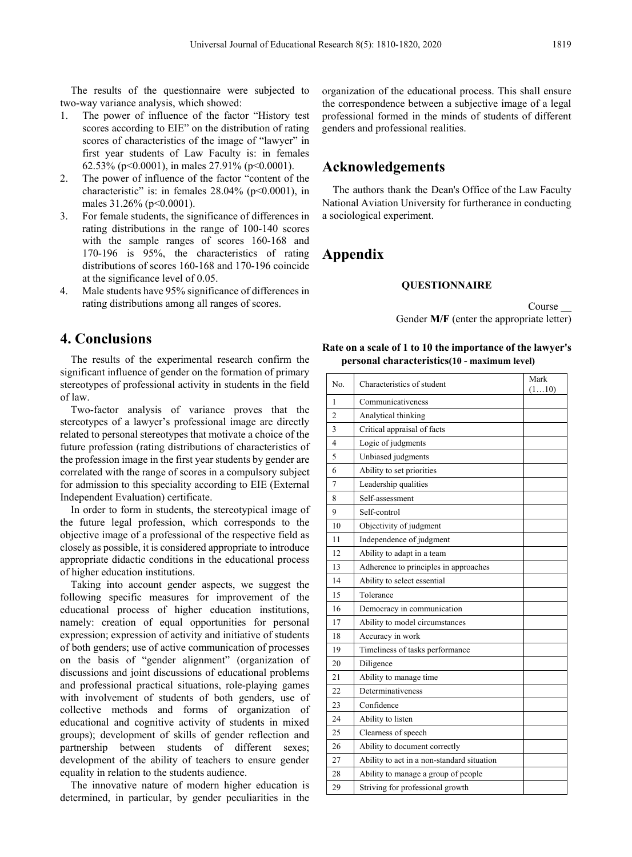The results of the questionnaire were subjected to two-way variance analysis, which showed:

- 1. The power of influence of the factor "History test scores according to EIE" on the distribution of rating scores of characteristics of the image of "lawyer" in first year students of Law Faculty is: in females 62.53% (p<0.0001), in males  $27.91\%$  (p<0.0001).
- 2. The power of influence of the factor "content of the characteristic" is: in females  $28.04\%$  (p<0.0001), in males 31.26% (p<0.0001).
- 3. For female students, the significance of differences in rating distributions in the range of 100-140 scores with the sample ranges of scores 160-168 and 170-196 is 95%, the characteristics of rating distributions of scores 160-168 and 170-196 coincide at the significance level of 0.05.
- 4. Male students have 95% significance of differences in rating distributions among all ranges of scores.

#### **4. Conclusions**

The results of the experimental research confirm the significant influence of gender on the formation of primary stereotypes of professional activity in students in the field of law.

Two-factor analysis of variance proves that the stereotypes of a lawyer's professional image are directly related to personal stereotypes that motivate a choice of the future profession (rating distributions of characteristics of the profession image in the first year students by gender are correlated with the range of scores in a compulsory subject for admission to this speciality according to EIE (External Independent Evaluation) certificate.

In order to form in students, the stereotypical image of the future legal profession, which corresponds to the objective image of a professional of the respective field as closely as possible, it is considered appropriate to introduce appropriate didactic conditions in the educational process of higher education institutions.

Taking into account gender aspects, we suggest the following specific measures for improvement of the educational process of higher education institutions, namely: creation of equal opportunities for personal expression; expression of activity and initiative of students of both genders; use of active communication of processes on the basis of "gender alignment" (organization of discussions and joint discussions of educational problems and professional practical situations, role-playing games with involvement of students of both genders, use of collective methods and forms of organization of educational and cognitive activity of students in mixed groups); development of skills of gender reflection and partnership between students of different sexes; development of the ability of teachers to ensure gender equality in relation to the students audience.

The innovative nature of modern higher education is determined, in particular, by gender peculiarities in the

organization of the educational process. This shall ensure the correspondence between a subjective image of a legal professional formed in the minds of students of different genders and professional realities.

#### **Acknowledgements**

The authors thank the Dean's Office of the Law Faculty National Aviation University for furtherance in conducting a sociological experiment.

## **Appendix**

#### **QUESTIONNAIRE**

Course Gender **M/F** (enter the appropriate letter)

#### **Rate on a scale of 1 to 10 the importance of the lawyer's personal characteristics(10 - maximum level)**

| No.            | Characteristics of student                 | Mark  |
|----------------|--------------------------------------------|-------|
| 1              | Communicativeness                          | (110) |
| $\overline{c}$ | Analytical thinking                        |       |
| 3              | Critical appraisal of facts                |       |
| 4              | Logic of judgments                         |       |
|                |                                            |       |
| 5              | Unbiased judgments                         |       |
| 6              | Ability to set priorities                  |       |
| 7              | Leadership qualities                       |       |
| 8              | Self-assessment                            |       |
| 9              | Self-control                               |       |
| 10             | Objectivity of judgment                    |       |
| 11             | Independence of judgment                   |       |
| 12             | Ability to adapt in a team                 |       |
| 13             | Adherence to principles in approaches      |       |
| 14             | Ability to select essential                |       |
| 15             | Tolerance                                  |       |
| 16             | Democracy in communication                 |       |
| 17             | Ability to model circumstances             |       |
| 18             | Accuracy in work                           |       |
| 19             | Timeliness of tasks performance            |       |
| 20             | Diligence                                  |       |
| 21             | Ability to manage time                     |       |
| 22             | Determinativeness                          |       |
| 23             | Confidence                                 |       |
| 24             | Ability to listen                          |       |
| 25             | Clearness of speech                        |       |
| 26             | Ability to document correctly              |       |
| 27             | Ability to act in a non-standard situation |       |
| 28             | Ability to manage a group of people        |       |
| 29             | Striving for professional growth           |       |